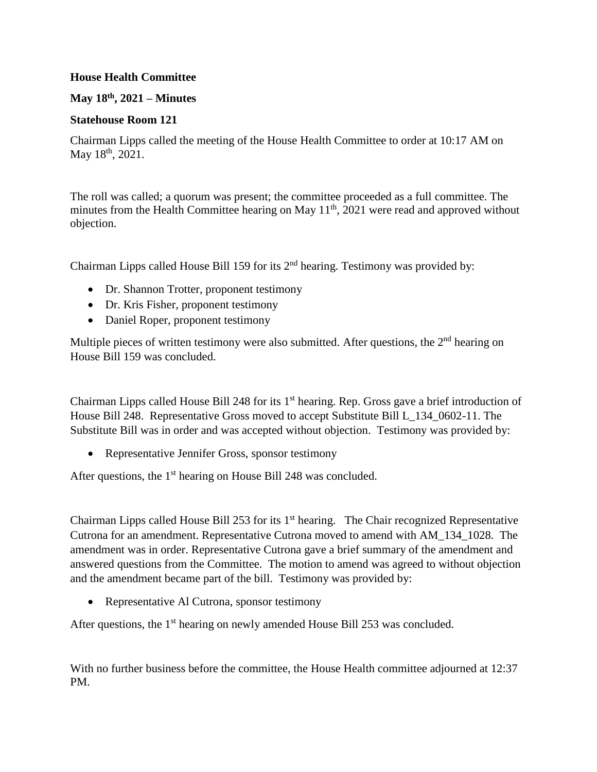## **House Health Committee**

## **May 18th, 2021 – Minutes**

## **Statehouse Room 121**

Chairman Lipps called the meeting of the House Health Committee to order at 10:17 AM on May 18<sup>th</sup>, 2021.

The roll was called; a quorum was present; the committee proceeded as a full committee. The minutes from the Health Committee hearing on May  $11<sup>th</sup>$ , 2021 were read and approved without objection.

Chairman Lipps called House Bill 159 for its  $2<sup>nd</sup>$  hearing. Testimony was provided by:

- Dr. Shannon Trotter, proponent testimony
- Dr. Kris Fisher, proponent testimony
- Daniel Roper, proponent testimony

Multiple pieces of written testimony were also submitted. After questions, the 2<sup>nd</sup> hearing on House Bill 159 was concluded.

Chairman Lipps called House Bill 248 for its  $1<sup>st</sup>$  hearing. Rep. Gross gave a brief introduction of House Bill 248. Representative Gross moved to accept Substitute Bill L\_134\_0602-11. The Substitute Bill was in order and was accepted without objection. Testimony was provided by:

Representative Jennifer Gross, sponsor testimony

After questions, the  $1<sup>st</sup>$  hearing on House Bill 248 was concluded.

Chairman Lipps called House Bill 253 for its  $1<sup>st</sup>$  hearing. The Chair recognized Representative Cutrona for an amendment. Representative Cutrona moved to amend with AM\_134\_1028. The amendment was in order. Representative Cutrona gave a brief summary of the amendment and answered questions from the Committee. The motion to amend was agreed to without objection and the amendment became part of the bill. Testimony was provided by:

• Representative Al Cutrona, sponsor testimony

After questions, the  $1<sup>st</sup>$  hearing on newly amended House Bill 253 was concluded.

With no further business before the committee, the House Health committee adjourned at 12:37 PM.